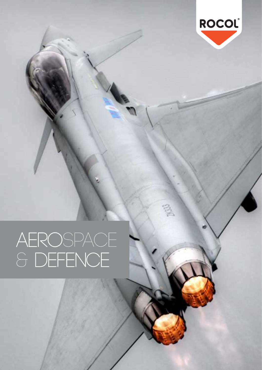

# AEROSPACE<br>& DEFENCE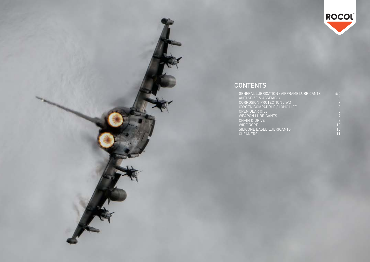| <b>GENERAL LUBRICATION / AIRFRAME LUBRICANTS</b> | 4/5 |
|--------------------------------------------------|-----|
| <b>ANTI SEIZE &amp; ASSEMBLY</b>                 | 6   |
| CORROSION PROTECTION / WD                        |     |
| OXYGEN COMPATIBLE / LONG LIFE                    | 8   |
| <b>OPEN GEAR OILS</b>                            | 8   |
| <b>WEAPON LUBRICANTS</b>                         | 9   |
| <b>CHAIN &amp; DRIVE</b>                         | 9   |
| <b>WIRE ROPE</b>                                 | 10  |
| SILICONE BASED LUBRICANTS                        | 10  |
| <b>CLEANERS</b>                                  | 11  |

## **CONTENTS**

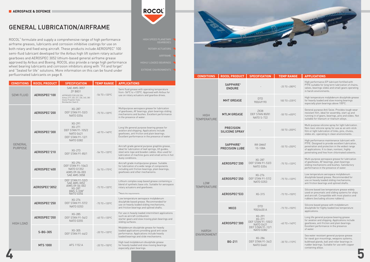ROCOL® formulate and supply a comprehensive range of high performance airframe greases, lubricants and corrosion inhibitive coatings for use on both rotary and fixed wing aircraft. These products include AEROSPEC® 100 semi-fluid lubricant developed for the Airbus high lift system rotary actuator gearboxes and AEROSPEC 3052 lithium-based general airframe grease approved by Airbus and Boeing. ROCOL also provide a range high performance wheel bearing lubricants and corrosion inhibitors along with "Fit and forget" and "Sealed for life" solutions. More information on this can be found under perfluorinated lubricants on page 8.

## GENERAL LUBRICATION/AIRFRAME



| <b>CONDITIONS</b>         | <b>ROCOL PRODUCT</b>                                                                                                                                                                                        | <b>SPECIFICATION</b>                                                                                                                   | <b>TEMP RANGE</b>                                                                                                                                                                              | <b>APPLICATIONS</b>                                                                                                                                                                                                                  |
|---------------------------|-------------------------------------------------------------------------------------------------------------------------------------------------------------------------------------------------------------|----------------------------------------------------------------------------------------------------------------------------------------|------------------------------------------------------------------------------------------------------------------------------------------------------------------------------------------------|--------------------------------------------------------------------------------------------------------------------------------------------------------------------------------------------------------------------------------------|
| <b>SEMI FLUID</b>         | <b>SAE AMS 3057</b><br><b>ZF B831</b><br>AEROSPEC <sup>®</sup> 100<br>APPROVED FOR USE ON:<br>Airbus 319, 320, 321, 330, 340, 380<br>Dowty Propeller Hubs<br>Bombardier Dash 8                              |                                                                                                                                        | $-56$ TO $+120$ <sup>o</sup> C                                                                                                                                                                 | Semi fluid grease with operating temperature<br>from -56°C to +120°C. Approved with Airbus for<br>use on rotary actuators and gearbox drives.                                                                                        |
|                           | AEROSPEC®200                                                                                                                                                                                                | XG-287<br><b>DEF STAN 91-53/3</b><br><b>NATO G354</b>                                                                                  | $-75$ TO $+120$ °C                                                                                                                                                                             | Multipurpose aerospace grease for lubrication<br>of gearboxes, AF bearings, plain bearings sliding<br>mechanisms and bushes. Excellent performance<br>in the presence of water.                                                      |
|                           | XG-291<br>XG-271<br>DEF STAN 91-105/2<br>AEROSPEC®300<br><b>NATO G421</b><br><b>DEF STAN 91-12/1</b><br><b>NATO G382</b>                                                                                    | $-40$ TO $+140$ °C                                                                                                                     | Long life general purpose bearing grease for<br>aviation and shipping. Applications include<br>gearboxes, anti friction and plain bearings.<br>Excellent performance in the presence of water. |                                                                                                                                                                                                                                      |
| GENERAL<br><b>PURPOSE</b> | AEROSPEC®210                                                                                                                                                                                                | XG-273<br><b>DEF STAN 91-85/1</b>                                                                                                      | $-54$ TO $+120$ °C                                                                                                                                                                             | Aircraft grade general purpose graphite grease,<br>ideal for lubrication of leaf springs, lift guides,<br>steel wire rope and bowden cables. Also used for<br>lubrication of machine guns and small arms in hot<br>dusty conditions. |
|                           | AEROSPEC®400                                                                                                                                                                                                | XG-294<br>DEF STAN 91-106/2<br><b>NATO G1352</b><br>AIMS 09-06-003<br><b>SAE AMS 3058</b>                                              | $-54$ TO $+175$ °C                                                                                                                                                                             | Aircraft grade multipurpose grease. Suitable<br>for lubrication of a wide range of components<br>including anti friction bearings, plain bearings,<br>gearboxes and other mechanisms.                                                |
|                           | AEROSPEC®3052                                                                                                                                                                                               | <b>DEF STAN 91-53/3</b><br><b>SAE AMS 3052</b><br>AIMS 09-06-002<br>XG-287<br>BMS 3-33B*<br><b>NATO G354</b>                           | $-73$ TO $+120$ °C                                                                                                                                                                             | Lithium complex soap based grease containing a<br>blend of synthetic base oils. Suitable for aerospace<br>rotary actuators and gearboxes.<br>*Meets the requirements                                                                 |
|                           | AEROSPEC®250                                                                                                                                                                                                | XG-276<br><b>DEF STAN 91-57/2</b><br><b>NATO G353</b>                                                                                  | $-75$ TO $+120$ °C                                                                                                                                                                             | Low temperature aerospace molybdenum<br>disulphide based grease. Recommended for<br>use on heavily loaded sliding mechanisms,<br>anti friction bearings and splined shafts.                                                          |
|                           | XG-285<br>AEROSPEC®350<br><b>DEF STAN 91-54/2</b><br>$-40$ TO $+120$ °C<br><b>NATO G355</b><br>sliding surfaces.<br><b>HIGH LOAD</b><br>XG-305<br>S-BG-305<br>$-20$ TO $+120$ °C<br><b>DEF STAN 91-64/2</b> | For use in heavily loaded intermittent applications<br>such as aircraft combustion<br>starter gears and slow moving plain bearings and |                                                                                                                                                                                                |                                                                                                                                                                                                                                      |
|                           |                                                                                                                                                                                                             |                                                                                                                                        | Molybdenum disulphide grease for heavily<br>loaded applications providing good anti seize<br>performance. Applications include heavily<br>loaded bearings and slide mechanisms.                |                                                                                                                                                                                                                                      |
|                           | <b>MTS 1000</b>                                                                                                                                                                                             | AFS 1152 A                                                                                                                             | $-20$ TO $+150$ °C                                                                                                                                                                             | High load molybdenum disulphide grease<br>for heavily loaded and slow moving bearings<br>especially plain bearings.                                                                                                                  |

| <b><i>FEMP RANGE</i></b>       | <b>APPLICATIONS</b>                                                                                                                                                                                                                                    |
|--------------------------------|--------------------------------------------------------------------------------------------------------------------------------------------------------------------------------------------------------------------------------------------------------|
| $-25$ TO $+280$ <sup>o</sup> C | High performance EP lubricant fortified with<br>PTFE suitable for long term lubrication of chains,<br>valves, bearings slides and small gears operating<br>in harsh environments.                                                                      |
| 100 TO +235°C                  | High temperature molybdenum disulphide grease<br>for heavily loaded and slow moving bearings<br>especially plain bearings above 100°C.                                                                                                                 |
| $-50$ TO $+450$ °C             | General purpose Anti Seize. Provides tough wear<br>resistant film, ideal for assembly, start up and<br>running in of gears, bearings, pins and slides. Not<br>suitable for titanium or titanium alloys.                                                |
| $-50$ TO $+200$ °C             | Multi purpose silicone spray for light lubrication.<br>Non-toxic silicone spray for use as an anti-stick<br>film or light lubrication of links, pins, chutes,<br>slides etc. operating in clean environments.                                          |
| $-55$ TO $+250$ °C             | High performance maintenance lubricant with<br>PTFE. Designed to provide excellent lubrication,<br>penetration and protection in the widest range<br>of applications. It is clean, nontoxic, highly<br>penetrating and free from chlorinated solvents. |
| $-75$ TO $+120$ °C             | Multi-purpose aerospace grease for lubrication<br>of gearboxes, AF bearings, plain bearings<br>sliding mechanisms and bushes. Satisfactory<br>performance in the presence of water.                                                                    |
| $-75$ TO $+120$ °C             | Low temperature aerospace molybdenum<br>disulphide based grease. Recommended for<br>use on heavily loaded sliding mechanisms,<br>anti friction bearings and splined shafts.                                                                            |
| $-73$ TO $+150$ °C             | Silicone based low temperature grease widely<br>used on pneumatic and sliding systems for ships<br>and aircraft. Compatible with most plastics and<br>rubbers (excluding silicone rubbers).                                                            |
| $-73$ TO $+150$ °C             | Silicone based grease with molybdenum<br>disulphide for highly loaded low temperature<br>applications.                                                                                                                                                 |
| $-40$ TO $+140$ °C             | Long life general purpose bearing grease<br>for aviation and shipping. Applications include<br>gearboxes, anti friction and plain bearings.<br>Excellent performance in the presence<br>of water.                                                      |
| $-30$ TO $+110$ <sup>o</sup> C | Sea water resistant general purpose grease<br>for naval gun mountings, weapons systems,<br>bulkhead glands, ball and roller bearings in<br>rudder bearings. Suitable for use with copper<br>containing alloys.                                         |

|                                   | <b>SAPPHIRE®</b><br><b>ENDURE</b>          |                                                                                                            | $-25$ TO $+280$ °C             |
|-----------------------------------|--------------------------------------------|------------------------------------------------------------------------------------------------------------|--------------------------------|
|                                   | <b>MHT GREASE</b>                          | <b>DTD</b><br>900/49190                                                                                    | 100 TO +235°C                  |
| <b>HIGH</b><br><b>TEMPERATURE</b> | <b>MTLM GREASE</b>                         | <b>ZX38</b><br>DEF STAN 80/81<br><b>NATO S-722</b>                                                         | $-50$ TO $+450$ °C             |
|                                   | <b>PRECISION</b><br><b>SILICONE SPRAY</b>  |                                                                                                            | $-50$ TO $+200$ °C             |
|                                   | <b>SAPPHIRE</b> ®<br><b>PRECISION LUBE</b> | RR OMAT<br>10-108A                                                                                         | $-55$ TO $+250$ °C             |
|                                   | AEROSPEC®200                               | XG-287<br><b>DEF STAN 91-53/3</b><br><b>NATO G354</b>                                                      | $-75$ TO $+120$ °C             |
| LOW                               | AEROSPEC®250                               | XG-276<br><b>DEF STAN 91-57/2</b><br><b>NATO G353</b>                                                      | $-75$ TO $+120$ °C             |
| <b>TEMPERATURE</b>                | AEROSPEC®533                               | XG-315                                                                                                     | $-73$ TO $+150$ °C             |
|                                   | <b>MX33</b>                                | <b>DTD</b><br>900/4630 A                                                                                   | $-73$ TO $+150$ °C             |
| <b>HARSH</b>                      | AEROSPEC®300                               | $XG-291$<br>XG-271<br>DEF STAN 91-105/2<br><b>NATO G421</b><br><b>DEF STAN 91-12/1</b><br><b>NATO G382</b> | $-40$ TO $+140$ °C             |
| ENVIRONMENT                       | <b>BG-211</b>                              | XG-286<br><b>DEF STAN 91-34/2</b><br><b>NATO G460</b>                                                      | $-30$ TO $+110$ <sup>o</sup> C |



ROCOL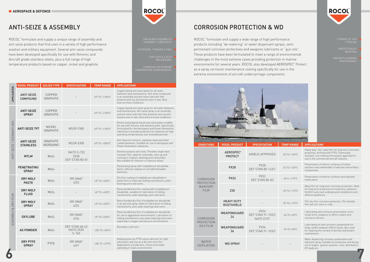## ANTI-SEIZE & ASSEMBLY

ROCOL® formulate and supply a unique range of assembly and anti seize products that find uses in a variety of high performance aviation and military equipment. Several anti-seize compounds have been developed specifically for use with Nimonic and Aircraft grade stainless steels, plus a full range of high temperature products based on copper, nickel and graphite.

#### CORROSION PROTECTION & WD

ROCOL® formulate and supply a wide range of high performance products including "de-watering" or water dispersant sprays, semi permenant corrosion protectives and weapons lubricants or "gun oils". These products have been formulated to meet a range of environmental challenges in the most extreme cases providing protection in marine environments for several years. ROCOL also developed AEROSPEC<sup>®</sup> Protect as a spray corrosion maintenance coating specifically for use in the extreme environments of aircraft undercarriage components.



| <b>ROCOL PRODUCT</b>                   | <b>SPECIFICATION</b>                                 | <b>TEMP RANGE</b>              | <b>APPLICATIONS</b>                                                                                                                                                                              |
|----------------------------------------|------------------------------------------------------|--------------------------------|--------------------------------------------------------------------------------------------------------------------------------------------------------------------------------------------------|
| <b>AEROSPEC®</b><br><b>PROTECT</b>     | AIRBUS APPROVED                                      | $-50$ TO $+120$ °C             | Heavy duty "dry" waxy film for long term corrosion<br>protection, fortified with PTFE. Chemically<br>resistant, non melting formulation approved for<br>use in the commercial aircraft industry. |
| <b>PX28</b>                            | <b>PX28</b><br><b>DEF STAN 80-143/1</b>              | $-35$ TO $+120$ °C             | Preservation of interior surfaces of hollow<br>sections and underbodies of vehicles and artillery<br>components.                                                                                 |
| <b>PX32</b>                            | PX32<br>DEF STAN 80-83                               | $-40$ to $+110^{\circ}$ C      | Preservation of exterior surfaces and exposed<br>metal parts.                                                                                                                                    |
| Z30                                    |                                                      | $-20$ TO $+110$ <sup>o</sup> C | Waxy film for long term corrosion protection. Ideal<br>for long term protection of machinery, elevators<br>forklift trucks and underground installations and<br>offshore platforms.              |
| <b>HEAVY DUTY</b><br><b>RUSTSHIELD</b> |                                                      | $-20$ TO $+110$ <sup>o</sup> C | Thin dry film corrosion protective. Thin flexible<br>film will not crack or chip.                                                                                                                |
| <b>WEAPONGUARD</b><br>24               | OX24<br><b>DEF STAN 91-102/2</b><br><b>NATO 0157</b> | $-54$ TO $+50$ °C              | Lubricating and corrosion preventative oil for<br>small arms, weapons to 30mm calibre and<br>mortars to 81mm.                                                                                    |
| WEAPONGUARD<br>36                      | <b>PX36</b><br><b>DEF STAN 91-103/2</b>              | $-54$ TO $+50$ °C              | Lubricating oil and corrosion preventative for<br>large calibre weapons (30mm plus), also used<br>for cleaning the surface of barrels and breach<br>mechanisms.                                  |
| <b>WD SPRAY</b>                        |                                                      |                                | Water displacing corrosion preventative and<br>lubricant spray. Suitable for protection and drying<br>out of engine ignition systems, coils, distributors,<br>HT leads etc.                      |
|                                        |                                                      |                                |                                                                                                                                                                                                  |



|                          | <b>ROCOL PRODUCT</b>                  | <b>SOLIDS TYPE</b>               | <b>SPECIFICATION</b>                               | <b>TEMP RANGE</b>   | <b>APPLICATIONS</b>                                                                                                                                                                                                                                                           |
|--------------------------|---------------------------------------|----------------------------------|----------------------------------------------------|---------------------|-------------------------------------------------------------------------------------------------------------------------------------------------------------------------------------------------------------------------------------------------------------------------------|
| APPLICATION              | <b>ANTI SEIZE</b><br><b>COMPOUND</b>  | COPPER<br><b>GRAPHITE</b>        |                                                    | UP TO +1100°C       | Copper based anti seize paste for all static<br>fasteners and mechanisms. Anti seize compound<br>is an assembly and anti seize lubricant that<br>prevents pick up and seizure even in wet, dirty<br>and corrosive conditions.                                                 |
|                          | <b>ANTI SEIZE</b><br><b>SPRAY</b>     | COPPER<br><b>GRAPHITE</b>        |                                                    | UP TO +1100°C       | Copper based anti seize spray for all static fasteners<br>and mechanisms. Anti seize spray is an assembly<br>and anti seize lubricant that prevents pick up and<br>seizure even in wet, dirty and corrosive conditions.                                                       |
| ANTI SEIZE / DISMANTLING | <b>ANTI SEIZE 797</b>                 | <b>NICKEL</b><br><b>GRAPHITE</b> | <b>MSSR 9380</b>                                   | UP TO +1100°C       | Nickel and graphite based anti seize paste suitable<br>for use with nimonic and stainless steel. Specifically<br>formulated for the Aerospace and Power Generation<br>industries to provide protection for fasteners at high<br>operating temperatures over extended periods. |
|                          | <b>ANTI SEIZE</b><br><b>STAINLESS</b> | <b>GRAPHITE</b><br>INORGANIC     | <b>MSSR 4308</b>                                   | UP TO +1000°C       | Anti Seize for nimonic, stainless steel and silver<br>coated fasteners. Suitable for use in Aerospace and<br>Power Generation industries.                                                                                                                                     |
|                          | <b>MTLM</b>                           | MoS <sub>2</sub>                 | <b>NATO S-722</b><br><b>ZX38</b><br>DEF STAN 80-81 |                     | General purpose anti seize. Provides tough wear<br>resistant film, ideal for assembly, start up and<br>running in of gears, bearings pins and slides.<br>Not suitable for titanium or titanium alloys.                                                                        |
|                          | <b>PENETRATING</b><br><b>SPRAY</b>    | MoS <sub>2</sub>                 |                                                    |                     | Penetrating spray with molybdenum disulphide.<br>Quick, effective release of corroded threaded<br>fasteners.                                                                                                                                                                  |
|                          | <b>DRY MOLY</b><br><b>PASTE</b>       | MoS <sub>2</sub>                 | RR OMAT<br>4/53                                    | UP TO +450°C        | Dry film coating of molybdenum disulphide in<br>paste form to lubricate sliding mechanisms, plain<br>bearings pins and cams.                                                                                                                                                  |
|                          | <b>DRY MOLY</b><br><b>FLUID</b>       | MoS <sub>2</sub>                 |                                                    | UP TO +450°C        | Resin bonded dry film coating with molybdenum<br>disulphide, suitable for lubrication of sliding<br>mechanisms, plain bearings, pins and cams.                                                                                                                                |
| DRY FILM                 | DRY MOLY<br><b>SPRAY</b>              | MoS <sub>2</sub>                 | RR OMAT<br>4/52                                    | UP TO +450°C        | Resin bonded dry film of molybdenum disulphide<br>in an aerosol spray. Ideal for lubrication of sliding<br>mechanisms, pins, plain bearings and cams.                                                                                                                         |
| SSEMBLY &                | <b>OXYLUBE</b>                        | MoS <sub>2</sub>                 | RR OMAT<br>4/54                                    | UP TO +450°C        | Resin bonded dry film of molybdenum disulphide<br>for use in aggressive environments. Lubrication of<br>sliding mechanisms, pins plain bearings and cams<br>especially in oxygen and vacuum environments.                                                                     |
| $\prec$                  | <b>AS POWDER</b>                      | MoS <sub>2</sub>                 | DEF STAN 68-62<br>NATO ZX35<br>$S - 740$           | $-200$ TO $+450$ °C | Boundary Lubricant.                                                                                                                                                                                                                                                           |
|                          | <b>DRY PTFE</b><br><b>SPRAY</b>       | <b>PTFE</b>                      | RR OMAT<br>4/67                                    | $-200$ TO $+270$ °C | Multipurpose dry PTFE spray lubricant for light<br>lubrication and use as a dry anti stick film.<br>Applications include pins, chutes and slides<br>operating in clean environments.                                                                                          |



/ TOOLING

PROTECTION OF WEAPONS

AIRCRAFT & MARINE MAINTENANCE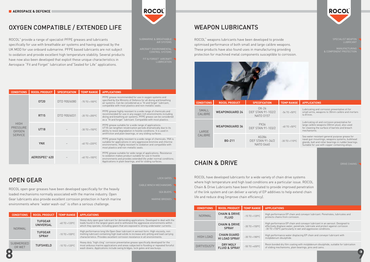#### WEAPON LUBRICANTS

ROCOL® weapons lubricants have been developed to provide optimised performance of both small and large calibre weapons. These products have also found uses in manufacturing providing protection for machined metal components susceptible to corrosion.

| <b>CONDITIONS</b>  | <b>ROCOL PRODUCT</b>                        | <b>TEMP RANGE</b>  | <b>APPLICATIONS</b>                                        |
|--------------------|---------------------------------------------|--------------------|------------------------------------------------------------|
| <b>NORMAL</b>      | <b>CHAIN &amp; DRIVE</b><br><b>FLUID</b>    | $-15$ TO $+120$ °C | High performanc<br>protects chains fr                      |
|                    | <b>CHAIN &amp; DRIVE</b><br><b>SPRAY</b>    | $-30$ TO $+150$ °C | High performanc<br>effectively displad<br>-30 TO +150°C pa |
| <b>HIGH LOAD</b>   | <b>CHAIN GUARD</b><br><b>HI LOAD SPRAY</b>  | $-30$ TO $+180$ °C | High performanc<br>molybdenum dist                         |
| <b>DIRTY/DUSTY</b> | <b>DRY MOLY</b><br><b>FLUID &amp; SPRAY</b> | $-50$ TO $+450$ °C | Resin bonded dry<br>of sliding mechar                      |



### OXYGEN COMPATIBLE / EXTENDED LIFE

ROCOL® provide a range of specialist PFPE greases and lubricants specifically for use with breathable air systems and having approval by the UK MOD for use onboard submarine. PFPE based lubricants are not subject to oxidation and provide excellent high temperature stability. Several products have now also been developed that exploit these unique characteristics in Aerospace "Fit and Forget" lubrication and"Sealed for Life" applications.

| <b>CONDITIONS</b>                                                                                                            | <b>ROCOL PRODUCT</b>                             | <b>SPECIFICATION</b>                                                                                                                                                                                                                                | <b>TEMP RANGE</b>              | <b>APPLICATIONS</b>                                                                                                                                                                                         |  |  |  |
|------------------------------------------------------------------------------------------------------------------------------|--------------------------------------------------|-----------------------------------------------------------------------------------------------------------------------------------------------------------------------------------------------------------------------------------------------------|--------------------------------|-------------------------------------------------------------------------------------------------------------------------------------------------------------------------------------------------------------|--|--|--|
| SMALL<br>CALIBRE                                                                                                             | <b>WEAPONGUARD 24</b>                            | $OX-24$<br><b>DEF STAN 91-102/2</b><br><b>NATO 0157</b>                                                                                                                                                                                             | $-54$ TO $+50$ °C              | Lubricating and corrosion preventative oil for<br>small arms, weapons to 30mm calibre and mortars<br>to 81mm.                                                                                               |  |  |  |
| LARGE                                                                                                                        | <b>WEAPONGUARD 36</b>                            | <b>PX36</b><br><b>DEF STAN 91-103/2</b>                                                                                                                                                                                                             | $-40$ TO $+50$ °C              | Lubricating oil and corrosion preventative for<br>large calibre weapons (30mm plus), also used<br>for cleaning the surface of barrels and breach<br>mechanisms.                                             |  |  |  |
| CALIBRE                                                                                                                      | <b>BG-211</b>                                    | XG286<br><b>DEF STAN 91-34/2</b><br><b>NATO G460</b>                                                                                                                                                                                                | $-30$ TO $+110$ <sup>o</sup> C | Sea water resistant general purpose grease for<br>naval gun mountings, weapons systems, bulkhead<br>glands, ball and roller bearings in rudder bearings.<br>Suitable for use with copper containing alloys. |  |  |  |
| <b>CHAIN &amp; DRIVE</b><br><b>DRIVE CHAINS</b><br>ROCOL have developed lubricants for a wide variety of chain drive systems |                                                  |                                                                                                                                                                                                                                                     |                                |                                                                                                                                                                                                             |  |  |  |
|                                                                                                                              | life and reduce drag (improve chain efficiency). | where high temperature and high load conditions are a particular issue. ROCOL<br>Chain & Drive Lubricants have been formulated to provide improved penetration<br>of the link system and can deliver a variety of EP additives to help extend chain |                                |                                                                                                                                                                                                             |  |  |  |

| <b>CONDITIONS</b>                                                 | <b>ROCOL PRODUCT</b>      | <b>SPECIFICATION</b> | <b>TEMP RANGE</b>  | <b>APPLICATIONS</b>                                                                                                                                                                                                                                                  |
|-------------------------------------------------------------------|---------------------------|----------------------|--------------------|----------------------------------------------------------------------------------------------------------------------------------------------------------------------------------------------------------------------------------------------------------------------|
|                                                                   | OT20                      | DTD 900/6080         | $-70$ TO $+100$ °C | PFPE grease recommended for use in oxygen systems and<br>specified by the Ministry of Defence for all diving and breathing<br>air systems. Can be considered as a "fit and forget" lubricant,<br>compatible with most plastics and non-metallic seals.               |
|                                                                   | <b>RT15</b>               | DTD 900/6031         | $-20$ TO $+200$ °C | PFPE grease highly resistant to a wide range of chemicals and<br>recommended for use in any oxygen rich environments including<br>diving and breathing air systems. PFPE grease can be considered<br>as a "fit and forget" lubricant. Compatible with most plastics. |
| <b>HIGH</b><br><b>PRESSURE</b><br><b>OXYGEN</b><br><b>SERVICE</b> | <b>UT18</b>               |                      | $-30$ TO $+150$ °C | PFPE grease suitable for a wide range of applications.<br>UT18 can lengthen relubrication periods dramatically due to its<br>ability to resist degradation in hostile conditions. It is used in<br>antifriction and plain bearings, or any sliding surfaces.         |
|                                                                   | <b>YNX</b>                |                      | $-40$ TO $+220$ °C | PFPE grease highly resistant to a wide range of chemicals. YNX is<br>suitable for applications in very aggressive bromine and chlorine<br>environments. Highly resistant to oxidation and compatible with<br>most plastics and non-metallic seals.                   |
|                                                                   | AEROSPEC <sup>®</sup> 620 |                      | $-40$ TO $+100$ °C | PFPE grease suitable for wide range of applications. Resistance<br>to oxidation makes product suitable for use in hostile<br>environments and provides extended life under normal conditions.<br>Applications in plain bearings, and for sliding surfaces.           |

#### OPEN GEAR

ROCOL open gear greases have been developed specifically for the heavily loaded mechanisms normally associated with the marine industry. Open Gear lubricants also provide excellent corrosion protection in harsh marine environments where "water wash-out" is often a serious challenge.

| <b>CONDITIONS</b>          | <b>ROCOL PRODUCT</b>               | <b>TEMP RANGE</b>              | <b>APPLICATIONS</b>                                                                                                                                                                                                                                                  |
|----------------------------|------------------------------------|--------------------------------|----------------------------------------------------------------------------------------------------------------------------------------------------------------------------------------------------------------------------------------------------------------------|
|                            | <b>TUFGEAR</b><br><b>UNIVERSAL</b> | $-40$ TO $+120$ °C             | Heavy-duty open gear lubricant for demanding applications. Developed to deal with the<br>loads found in the largest gears and to withstand the aggressive environments within<br>which they operate, including gears that are exposed to strong underwater currents. |
| NORMAL                     | <b>TUFGEAR</b><br><b>SPRAY</b>     | $-10$ TO $+100$ <sup>o</sup> C | High performance long life Open Gear lubricant in aerosol form. High viscosity, non<br>melting lubricant containing high load solids to increase anti-pitting and load carrying<br>characteristics. Provides excellent corrosion resistance in all environments.     |
| <b>SUBMERGED</b><br>OR WFT | <b>TUFSHIELD</b>                   | $-10$ TO $+120$ <sup>o</sup> C | Heavy duty "high cling" corrosion preventative grease specifically developed for the<br>most arduous marine applications and areas subjected to flooding or repeated forceful<br>wash downs. Applications include swing bridges, lock gates and sea buoys.           |
|                            |                                    |                                |                                                                                                                                                                                                                                                                      |

**ROCOL** 

## AIRCRAFT ENVIRONMENTAL CONTROL SYSTEMS FIT & FORGET" AIRCRAFT

**LUBRICATION** 

LOCK GATES

MANUFACTURING & COMPONENT PROTECTION

ance EP chain and conveyor lubricant. Penetrates, lubricates and s from corrosion.

ance EP chain and conveyor lubricant in an aerosol. Designed to place water, penetrate, lubricate and protect against corrosion  $\sigma$  particularly in wet and aggressive conditions.

ance water displacing EP chain and conveyor lubricant with disulphide.

dry film coating with molybdenum disulphide, suitable for lubrication chanisms, plain bearings, pins and cams.

 $\Box$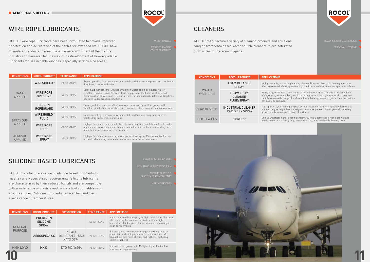**CONDITIONS** 

#### WIRE ROPE LUBRICANTS

#### SILICONE BASED LUBRICANTS

ROCOL<sup>®</sup> wire rope lubricants have been formulated to provide improved penetration and de-watering of the cables for extended life. ROCOL have formulated products to meet the extreme environment of the marine industry and have also led the way in the development of Bio-degradable lubricants for use in cable winches (especially in dock side areas).

ROCOL manufacture a range of silicone based lubricants to meet a variety specialised requirements. Silicone lubricants are characterised by their reduced toxicity and are compatible with a wide range of plastics and rubbers (not compatible with silicone rubber). Silicone lubricants can also be used over a wide range of temperatures.

HAND APPLIED

SPRAY GUN APPLIED

Multi-purpose, fast drying, degreaser that leaves no residue. A specially formulated blend of degreasing solvents designed to remove grease, oil and general workshop  $\overline{\mathsf{m}}$  a wide range of surfaces.

> s hand-cleaning system. SCRUBS combines a high quality liquid  $\mathsf d$  a heavy duty, non-scratching, abrasive hand-cleaning towel.

AEROSOL APPLIED

| <b>CONDITIONS</b>        | <b>ROCOL PRODUCT</b>                                | <b>SPECIFICATION</b>                                                     | <b>TEMP RANGE</b>  | <b>APPLICATIONS</b>                                                                                                                                                                                           |
|--------------------------|-----------------------------------------------------|--------------------------------------------------------------------------|--------------------|---------------------------------------------------------------------------------------------------------------------------------------------------------------------------------------------------------------|
| <b>GENERAL</b>           | <b>PRECISION</b><br><b>SILICONE</b><br><b>SPRAY</b> |                                                                          | $-50$ TO $+200$ °C | Multi purpose silicone spray for light lubrication. Non-toxic<br>silicone spray for use as an anti-stick film or light<br>lubrication of links, pins, chutes, slides etc. operating in<br>clean environments. |
| <b>PURPOSE</b>           |                                                     | XG 315<br>AEROSPEC <sup>®</sup> 533 DEF STAN 91-56/3<br><b>NATO G394</b> | $-73$ TO $+150$ °C | Silicone based low temperature grease widely used on<br>pneumatic and sliding systems for ships and aircraft.<br>Compatible with most plastics and rubbers (excluding<br>silicone rubbers).                   |
| MX33<br><b>HIGH LOAD</b> |                                                     | DTD 900/4630A                                                            | $-73$ TO $+150$ °C | Silicone based grease with MoS <sub>2</sub> for highly loaded low<br>temperature applications.                                                                                                                |
|                          |                                                     |                                                                          |                    |                                                                                                                                                                                                               |

| <b>ROCOL PRODUCT</b>                                          | <b>TEMP RANGE</b>              | <b>APPLICATIONS</b>                                                                                                                                                                                                                                                                     |
|---------------------------------------------------------------|--------------------------------|-----------------------------------------------------------------------------------------------------------------------------------------------------------------------------------------------------------------------------------------------------------------------------------------|
| WIRESHIELD™                                                   | $-30$ TO $+100$ <sup>o</sup> C | Ropes operating in arduous environmental conditions on equipment such as hoists,<br>drag lines, cranes and ships.                                                                                                                                                                       |
| <b>WIRE ROPE</b><br><b>DRESSING</b>                           | $-30$ TO $+100$ <sup>o</sup> C | Semi-fluid lubricant that will not emulsify in water and is completely water<br>repellent. Product is non-tacky and will help prevent the build-up of dust and<br>contamination on wire ropes. Recommended for use on hoist cables and drag lines<br>operated under arduous conditions. |
| <b>BIOGEN</b><br><b>ROPEGUARD</b>                             | $-30$ TO $+100$ <sup>o</sup> C | Bio-degradable, water repellant wire rope lubricant. Semi-fluid grease with<br>excellent penetration, lubrication and corrosion protection on all types of wire rope.                                                                                                                   |
| WIRESHIELD™<br>$-30$ TO $+100$ <sup>o</sup> C<br><b>FLUID</b> |                                | Ropes operating in arduous environmental conditions on equipment such as<br>hoists, drag lines, cranes and ships.                                                                                                                                                                       |
| <b>WIRE ROPE</b><br><b>FLUID</b>                              | $-30$ TO $+180$ <sup>o</sup> C | High performance, rapid penetration, de-watering wire rope lubricant that can be<br>applied even in wet conditions. Recommended for use on hoist cables, drag lines<br>and other arduous marine environments.                                                                           |
| <b>WIRE ROPE</b><br><b>SPRAY</b>                              | $-30$ TO $+100$ <sup>o</sup> C | High performance de-watering wire rope lubricant spray. Recommended for use<br>on hoist cables, drag lines and other arduous marine environments.                                                                                                                                       |

#### CLEANERS

ROCOL® manufacture a variety of cleaning products and solutions ranging from foam based water soluble cleaners to pre-saturated cloth wipes for personal hygiene.

| <b>CONDITIONS</b>               | <b>ROCOL PRODUCT</b>                                 | <b>APPLICATIONS</b>                                                               |  |
|---------------------------------|------------------------------------------------------|-----------------------------------------------------------------------------------|--|
| <b>WATER</b><br><b>WASHABLE</b> | <b>FOAM CLEANER</b><br><b>SPRAY</b>                  | Highly versatile, f<br>effective removal                                          |  |
|                                 | <b>HEAVY DUTY</b><br><b>CLEANER</b><br>(FLUID/SPRAY) | Heavy duty, water<br>of degreasing sol<br>rapidly from a wid<br>can easily be rem |  |
| ZERO RESIDUE                    | <b>INDUSTRIAL CLEANER</b><br><b>RAPID DRY SPRAY</b>  | Multi-purpose, fa<br>blend of degreasi<br>grime rapidly fror                      |  |
| <b>CLOTH WIPES</b>              | <b>SCRUBS®</b>                                       | Unique waterless<br>hand cleaner and                                              |  |



## **ROCOL**®

EXPOSED MARINE CONTROL CABLES

THERMOPLASTIC & ELASTOMER COMPONENTS



**ROCOL** 

fast acting foaming cleaner. Non-toxic blend of cleaning agents for Lof dirt, grease and grime from a wide variety of non-porous surfaces.

r washable, multi-purpose degreaser. A specially formulated blend of degreasing solvents designed to remove grease, oil and general workshop grime rapidly from a wide range of surfaces. It emulsifies grease and grime then the residue noved.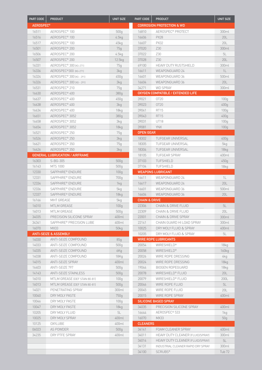| PART CODE                   | <b>PRODUCT</b>                        | <b>UNIT SIZE</b> | PART CODE                | <b>PRODUCT</b>                          | <b>UNIT SIZE</b>  |
|-----------------------------|---------------------------------------|------------------|--------------------------|-----------------------------------------|-------------------|
| <b>AEROSPEC<sup>®</sup></b> |                                       |                  |                          | <b>CORROSION PROTECTION &amp; WD</b>    |                   |
| 16511                       | AEROSPEC <sup>®</sup> 100             | 500q             | 16810                    | AEROSPEC <sup>®</sup> PROTECT           | 300ml             |
| 16516                       | AEROSPEC <sup>®</sup> 100             | 4.5kg            | 16606                    | <b>PX28</b>                             | 20L               |
| 16517                       | AEROSPEC <sup>®</sup> 100             | 45kg             | 16607                    | <b>PX32</b>                             | 20L               |
| 16501                       | AEROSPEC <sup>®</sup> 200             | 75q              | 37020                    | Z30                                     | 300ml             |
| 16506                       | AEROSPEC <sup>®</sup> 200             | 4.5kg            | 37022                    | Z30                                     | 5L                |
| 16507                       | AEROSPEC <sup>®</sup> 200             | 12.5kg           | 37028                    | Z30                                     | 20L               |
| 16331                       | AEROSPEC <sup>®</sup> 300 (xG-271)    | 75q              | 69100                    | <b>HEAVY DUTY RUSTSHIELD</b>            | 300ml             |
| 16336                       | AEROSPEC <sup>®</sup> 300 (xG-271)    | 3kg              | 16611                    | <b>WEAPONGUARD 24</b>                   | 1L                |
| 16324                       | AEROSPEC <sup>®</sup> 300 (XG - 291)  | 450g             | 16601                    | WEAPONGUARD 36                          | 500ml             |
| 16326                       |                                       |                  |                          |                                         |                   |
|                             | AEROSPEC <sup>®</sup> 300 (XG - 291)  | 3kg              | 16604                    | WEAPONGUARD 36                          | 20L               |
| 16531                       | AEROSPEC <sup>®</sup> 210             | 75g              | 34271                    | <b>WD SPRAY</b>                         | 300ml             |
| 16630                       | AEROSPEC <sup>®</sup> 400             | 380q             |                          | OXYGEN COMPATIBLE / EXTENDED LIFE       |                   |
| 16637                       | AEROSPEC <sup>®</sup> 400             | 450g             | 39021                    | OT20                                    | 100q              |
| 16638                       | AEROSPEC <sup>®</sup> 400             | 3kg              | 39023                    | OT20                                    | 400q              |
| 16634                       | AEROSPEC <sup>®</sup> 400             | 18 <sub>kq</sub> | 39041                    | <b>RT15</b>                             | 100 <sub>g</sub>  |
| 16651                       | AEROSPEC <sup>®</sup> 3052            | 380q             | 39043                    | <b>RT15</b>                             | 400g              |
| 16658                       | AEROSPEC® 3052                        | 3kg              | 39031                    | <b>UT18</b>                             | 100q              |
| 16654                       | AEROSPEC <sup>®</sup> 3052            | 18 <sub>kq</sub> | 39081                    | <b>YNX</b>                              | 100g              |
| 16521                       | AEROSPEC <sup>®</sup> 250             | 75q              | <b>OPEN GEAR</b>         |                                         |                   |
| 16526                       | AEROSPEC <sup>®</sup> 250             | 3kg              | 18302                    | <b>TUFGEAR UNIVERSAL</b>                | 400q              |
| 16621                       | AEROSPEC <sup>®</sup> 350             | 75q              | 18305                    | <b>TUFGEAR UNIVERSAL</b>                | 5kg               |
| 16626                       | AEROSPEC <sup>®</sup> 350             | 3kg              | 18304                    | <b>TUFGEAR UNIVERSAL</b>                | 18 <sub>kq</sub>  |
|                             | <b>GENERAL LUBRUCATION / AIRFRAME</b> |                  | 18105                    | <b>TUFGEAR SPRAY</b>                    | 400ml             |
| 16303                       | S-BG-305                              | 500q             | 37103                    | <b>TUFSHIELD</b>                        | 450g              |
| 16143                       | MTS 1000                              | 500g             | 37104                    | <b>TUFSHIELD</b>                        | 18 <sub>kq</sub>  |
| 12330                       | SAPPHIRE® ENDURE                      | 100q             |                          | <b>WEAPONS LUBRICANT</b>                |                   |
| 12331                       | SAPPHIRE® ENDURE                      | 700g             | 16611                    | WEAPONGUARD 24                          | 1L                |
| 12334                       | SAPPHIRE® ENDURE                      | 1kg              | 16617                    | <b>WEAPONGUARD 24</b>                   | 20L               |
| 12336                       | SAPPHIRE® ENDURE                      |                  | 16601                    | WEAPONGUARD 36                          |                   |
|                             |                                       | 5kg              |                          |                                         | 500ml             |
| 12337                       | SAPPHIRE® ENDURE                      | 18 <sub>kq</sub> | 16604                    | WEAPONGUARD 36                          | 20L               |
| 16166                       | <b>MHT GREASE</b>                     | 5kg              | <b>CHAIN &amp; DRIVE</b> |                                         |                   |
| 16010                       | MTLM GREASE                           | 100q             | 22306                    | CHAIN & DRIVE FLUID                     | 5L                |
| 16013                       | <b>MTLM GREASE</b>                    | 500q             | 22309                    | <b>CHAIN &amp; DRIVE FLUID</b>          | 20L               |
| 34035                       | PRECISION SILICONE SPRAY              | 400ml            | 22001                    | <b>CHAIN &amp; DRIVE SPRAY</b>          | 300ml             |
| 34341                       | SAPPHIRE® PRECISION LUBE              | 400ml            | 22141                    | CHAIN GUARD HI LOAD SPRAY               | 300ml             |
| 16070                       | <b>MX33</b>                           | 50kg             | 10025                    | DRY MOLY FLUID & SPRAY                  | 400ml             |
|                             | <b>ANTI-SEIZE &amp; ASSEMBLY</b>      |                  | 10205                    | DRY MOLY FLUID & SPRAY                  | 5L                |
| 14030                       | ANTI-SEIZE COMPOUND                   | 85q              |                          | <b>WIRE ROPE LUBRICANTS</b>             |                   |
| 14033                       | ANTI-SEIZE COMPOUND                   | 500q             | 20054                    | <b>WIRESHIELD®</b>                      | 18kg              |
| 14035                       | ANTI-SEIZE COMPOUND                   | 6Kg              | 20058                    | <b>WIRESHIELD®</b>                      | 160 <sub>kg</sub> |
| 14038                       | ANTI-SEIZE COMPOUND                   | 18Kg             | 20026                    | WIRE ROPE DRESSING                      | 4kg               |
| 14015                       | <b>ANTI-SEIZE SPRAY</b>               | 400ml            | 20024                    | WIRE ROPE DRESSING                      | 18 <sub>kq</sub>  |
| 16403                       | ANTI-SEIZE 797                        | 500q             | 19044                    | <b>BIOGEN ROPEGUARD</b>                 | 18 <sub>kq</sub>  |
| 14143                       | <b>ANTI-SEIZE STAINLESS</b>           | 500q             | 20078                    | WIRESHIELD <sup>®</sup> FLUID           | 20L               |
| 16010                       | MTLM GREASE (DEF STAN 80-81)          | 100q             | 20079                    | WIRESHIELD® FLUID                       | 200L              |
| 16013                       | MTLM GREASE (DEF STAN 80-81)          | 500q             | 20046                    | WIRE ROPE FLUID                         | 5L                |
| 14021                       | PENETRATING SPRAY                     | 300ml            | 20045                    | WIRE ROPE FLUID                         | 20L               |
| 10040                       | DRY MOLY PASTE                        | 750g             | 20015                    | WIRE ROPE SPRAY                         | 400ml             |
| 10046                       | DRY MOLY PASTE                        | 100q             |                          | <b>SILICONE BASED SPRAY</b>             |                   |
| 10047                       | DRY MOLY PASTE                        | 18kg             | 34035                    | PRECISION SILICONE SPRAY                | 400ml             |
|                             |                                       |                  |                          |                                         |                   |
| 10205                       | DRY MOLY FLUID                        | 5L               | 16644                    | AEROSPEC® 533                           | 1kg               |
| 10025                       | DRY MOLY SPRAY                        | 400ml            | 16070                    | MX33                                    | 50g               |
| 10125                       | <b>OXYLUBE</b>                        | 400ml            | <b>CLEANERS</b>          |                                         |                   |
| 06023                       | AS POWDER                             | 500g             | 34141                    | FOAM CLEANER SPRAY                      | 400ml             |
| 34235                       | DRY PTFE SPRAY                        | 400ml            | 34011                    | <b>HEAVY DUTY CLEANER (FLUID/SPRAY)</b> | 300ml             |
|                             |                                       |                  | 34014                    | <b>HEAVY DUTY CLEANER (FLUID/SPRAY)</b> | 5L                |
|                             |                                       |                  | 34131                    | INDUSTRIAL CLEANER RAPID DRY SPRAY      | 300ml             |
|                             |                                       |                  | 34100                    | <b>SCRUBS®</b>                          | Tub <sub>72</sub> |
|                             |                                       |                  |                          |                                         |                   |